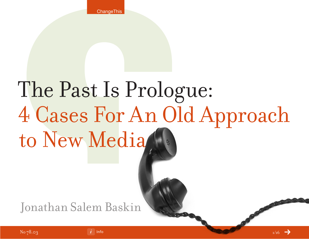# The Past Is Prologue: 4 Cases For An Old Approach to New Media

Jonathan Salem Baskin

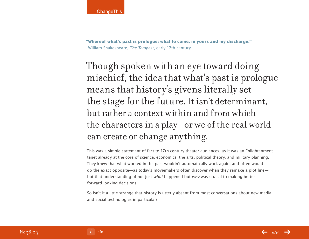**"Whereof what's past is prologue; what to come, in yours and my discharge."**  William Shakespeare, The Tempest, early 17th century

Though spoken with an eye toward doing mischief, the idea that what's past is prologue means that history's givens literally set the stage for the future. It isn't determinant, but rather a context within and from which the characters in a play—or we of the real world can create or change anything.

This was a simple statement of fact to 17th century theater audiences, as it was an Enlightenment tenet already at the core of science, economics, the arts, political theory, and military planning. They knew that what worked in the past wouldn't automatically work again, and often would do the exact opposite—as today's moviemakers often discover when they remake a plot line but that understanding of not just what happened but why was crucial to making better forward-looking decisions.

So isn't it a little strange that history is utterly absent from most conversations about new media, and social technologies in particular?

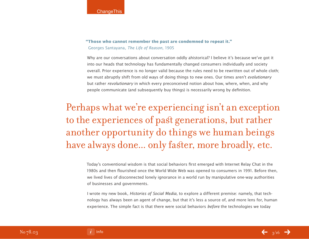### **"Those who cannot remember the past are condemned to repeat it."**  Georges Santayana, The Life of Reason, 1905

Why are our conversations about conversation oddly ahistorical? I believe it's because we've got it into our heads that technology has fundamentally changed consumers individually and society overall. Prior experience is no longer valid because the rules need to be rewritten out of whole cloth; we must abruptly shift from old ways of doing things to new ones. Our times aren't *evolutionary* but rather *revolutionary* in which every preconceived notion about how, where, when, and why people communicate (and subsequently buy things) is necessarily wrong by definition.

# Perhaps what we're experiencing isn't an exception to the experiences of past generations, but rather another opportunity do things we human beings have always done... only faster, more broadly, etc.

Today's conventional wisdom is that social behaviors first emerged with Internet Relay Chat in the 1980s and then flourished once the World Wide Web was opened to consumers in 1991. Before then, we lived lives of disconnected lonely ignorance in a world run by manipulative one-way authorities of businesses and governments.

I wrote my new book, Histories of Social Media, to explore a different premise: namely, that technology has always been an agent of change, but that it's less a source of, and more lens for, human experience. The simple fact is that there were social behaviors *before* the technologies we today

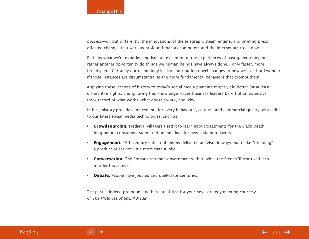### **ChangeThis**

possess—or, put differently, the innovations of the telegraph, steam engine, and printing press effected changes that were as profound then as computers and the Internet are to us now.

Perhaps what we're experiencing isn't an exception to the experiences of past generations, but rather another opportunity do things we human beings have always done... only faster, more broadly, etc. Certainly our technology is also contributing novel changes to how we live, but I wonder if those instances are circumstantial to the more fundamental behaviors that prompt them.

Applying these lessons of history to today's social media planning might yield better (or at least different) insights, and ignoring this knowledge leaves business leaders bereft of an extensive track record of what works, what doesn't work, and why.

In fact, history provides antecedents for every behavioral, cultural, and commercial quality we ascribe to our latest social media technologies, such as:

- **Crowdsourcing.** Medieval villagers used it to learn about treatments for the Black Death long before consumers submitted online ideas for new soda pop flavors.
- **Engagement.** 19th century industrial unions delivered activism in ways that make "friending" a product or service little more than a joke.
- **Conversation.** The Romans ran their government with it, while the French Terror used it to murder thousands.
- **Debate.** People have jousted and dueled for centuries.

The past is indeed prologue, and here are 4 tips for your next strategy meeting courtesy of The Histories of Social Media.

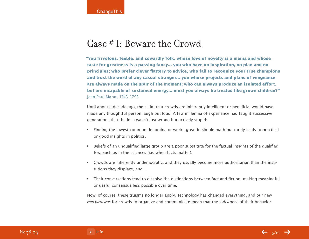### Case # 1: Beware the Crowd

**"You frivolous, feeble, and cowardly folk, whose love of novelty is a mania and whose taste for greatness is a passing fancy... you who have no inspiration, no plan and no principles; who prefer clever flattery to advice, who fail to recognize your true champions and trust the word of any casual stranger... you whose projects and plans of vengeance are always made on the spur of the moment; who can always produce an isolated effort, but are incapable of sustained energy... must you always be treated like grown children?"**  Jean-Paul Marat, 1743–1793

Until about a decade ago, the claim that crowds are inherently intelligent or beneficial would have made any thoughtful person laugh out loud. A few millennia of experience had taught successive generations that the idea wasn't just wrong but actively stupid:

- Finding the lowest common denominator works great in simple math but rarely leads to practical or good insights in politics.
- Beliefs of an unqualified large group are a poor substitute for the factual insights of the qualified few, such as in the sciences (i.e. when facts matter).
- Crowds are inherently undemocratic, and they usually become more authoritarian than the institutions they displace, and…
- Their conversations tend to dissolve the distinctions between fact and fiction, making meaningful or useful consensus less possible over time.

Now, of course, these truisms no longer apply. Technology has changed everything, and our new mechanisms for crowds to organize and communicate mean that the *substance* of their behavior

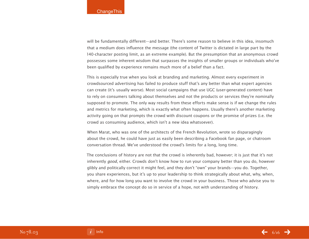will be fundamentally different—and better. There's some reason to believe in this idea, insomuch that a medium does influence the message (the content of Twitter is dictated in large part by the 140-character posting limit, as an extreme example). But the presumption that an anonymous crowd possesses some inherent wisdom that surpasses the insights of smaller groups or individuals who've been qualified by experience remains much more of a belief than a fact.

This is especially true when you look at branding and marketing. Almost every experiment in crowdsourced advertising has failed to produce stuff that's any better than what expert agencies can create (it's usually worse). Most social campaigns that use UGC (user-generated content) have to rely on consumers talking about themselves and not the products or services they're nominally supposed to promote. The only way results from these efforts make sense is if we change the rules and metrics for marketing, which is exactly what often happens. Usually there's another marketing activity going on that prompts the crowd with discount coupons or the promise of prizes (i.e. the crowd as consuming audience, which isn't a new idea whatsoever).

When Marat, who was one of the architects of the French Revolution, wrote so disparagingly about the crowd, he could have just as easily been describing a Facebook fan page, or chatroom conversation thread. We've understood the crowd's limits for a long, long time.

The conclusions of history are not that the crowd is inherently bad, however; it is just that it's not inherently good, either. Crowds don't know how to run your company better than you do, however glibly and politically correct it might feel, and they don't "own" your brands—you do. Together, you share experiences, but it's up to your leadership to think strategically about what, why, when, where, and for how long you want to involve the crowd in your business. Those who advise you to simply embrace the concept do so in service of a hope, not with understanding of history.

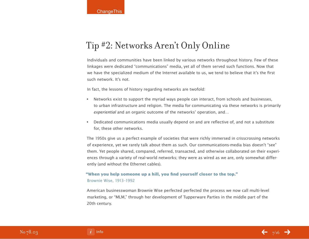### Tip #2: Networks Aren't Only Online

Individuals and communities have been linked by various networks throughout history. Few of these linkages were dedicated "communications" media, yet all of them served such functions. Now that we have the specialized medium of the Internet available to us, we tend to believe that it's the first such network. It's not.

In fact, the lessons of history regarding networks are twofold:

- Networks exist to support the myriad ways people can interact, from schools and businesses, to urban infrastructure and religion. The media for communicating via these networks is primarily experiential and an organic outcome of the networks' operation, and…
- Dedicated communications media usually depend on and are reflective of, and not a substitute for, these other networks.

The 1950s give us a perfect example of societies that were richly immersed in crisscrossing networks of experience, yet we rarely talk about them as such. Our communications-media bias doesn't "see" them. Yet people shared, compared, referred, transacted, and otherwise collaborated on their experiences through a variety of real-world networks; they were as wired as we are, only somewhat differently (and without the Ethernet cables).

### **"When you help someone up a hill, you find yourself closer to the top."**

### Brownie Wise, 1913–1992

American businesswoman Brownie Wise perfected perfected the process we now call multi-level marketing, or "MLM," through her development of Tupperware Parties in the middle part of the 20th century.

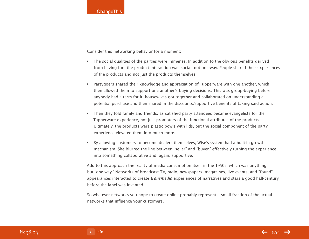Consider this networking behavior for a moment:

- The social qualities of the parties were immense. In addition to the obvious benefits derived from having fun, the product interaction was social, not one-way. People shared their experiences of the products and not just the products themselves.
- Partygoers shared their knowledge and appreciation of Tupperware with one another, which then allowed them to support one another's buying decisions. This was group-buying before anybody had a term for it; housewives got together and collaborated on understanding a potential purchase and then shared in the discounts/supportive benefits of taking said action.
- Then they told family and friends, as satisfied party attendees became evangelists for the Tupperware experience, not just promoters of the functional attributes of the products. Ultimately, the products were plastic bowls with lids, but the social component of the party experience elevated them into much more.
- By allowing customers to become dealers themselves, Wise's system had a built-in growth mechanism. She blurred the line between "seller" and "buyer," effectively turning the experience into something collaborative and, again, supportive.

Add to this approach the reality of media consumption itself in the 1950s, which was anything but "one-way." Networks of broadcast TV, radio, newspapers, magazines, live events, and "found" appearances interacted to create transmedia experiences of narratives and stars a good half-century before the label was invented.

So whatever networks you hope to create online probably represent a small fraction of the actual networks that influence your customers.

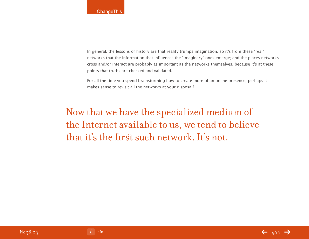In general, the lessons of history are that reality trumps imagination, so it's from these "real" networks that the information that influences the "imaginary" ones emerge; and the places networks cross and/or interact are probably as important as the networks themselves, because it's at these points that truths are checked and validated.

For all the time you spend brainstorming how to create more of an online presence, perhaps it makes sense to revisit all the networks at your disposal?

Now that we have the specialized medium of the Internet available to us, we tend to believe that it's the first such network. It's not.

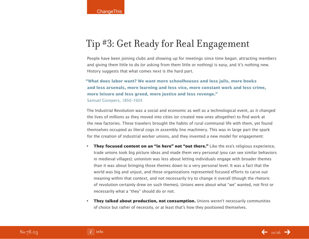## Tip #3: Get Ready for Real Engagement

People have been joining clubs and showing up for meetings since time began; attracting members and giving them little to do (or asking from them little or nothing) is easy, and it's nothing new. History suggests that what comes next is the hard part.

### **"What does labor want? We want more schoolhouses and less jails, more books and less arsenals, more learning and less vice, more constant work and less crime, more leisure and less greed, more justice and less revenge."** Samuel Gompers, 1850–1924

The Industrial Revolution was a social and economic as well as a technological event, as it changed the lives of millions as they moved into cities (or created new ones altogether) to find work at the new factories. These travelers brought the habits of rural communal life with them, yet found themselves occupied as literal cogs in assembly line machinery. This was in large part the spark for the creation of industrial worker unions, and they invented a new model for engagement:

- **They focused content on an "in here" not "out there."** Like the era's religious experience, trade unions took big picture ideas and made them very personal (you can see similar behaviors in medieval villages); unionism was less about letting individuals engage with broader themes than it was about bringing those themes down to a very personal level. It was a fact that the world was big and unjust, and these organizations represented focused efforts to carve out meaning within that context, and not necessarily try to change it overall (though the rhetoric of revolution certainly drew on such themes). Unions were about what "we" wanted, not first or necessarily what a "they" should do or not.
- **They talked about production, not consumption.** Unions weren't necessarily communities of choice but rather of necessity, or at least that's how they positioned themselves.

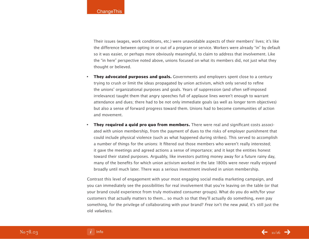Their issues (wages, work conditions, etc.) were unavoidable aspects of their members' lives; it's like the difference between opting in or out of a program or service. Workers were already "in" by default so it was easier, or perhaps more obviously meaningful, to claim to address that involvement. Like the "in here" perspective noted above, unions focused on what its members did, not just what they thought or believed.

- **They advocated purposes and goals.** Governments and employers spent close to a century trying to crush or limit the ideas propagated by union activism, which only served to refine the unions' organizational purposes and goals. Years of suppression (and often self-imposed irrelevance) taught them that angry speeches full of applause lines weren't enough to warrant attendance and dues; there had to be not only immediate goals (as well as longer term objectives) but also a sense of forward progress toward them. Unions had to become communities of action and movement.
- **They required a quid pro quo from members.** There were real and significant costs associated with union membership, from the payment of dues to the risks of employer punishment that could include physical violence (such as what happened during strikes). This served to accomplish a number of things for the unions: It filtered out those members who weren't really interested; it gave the meetings and agreed actions a sense of importance; and it kept the entities honest toward their stated purposes. Arguably, like investors putting money away for a future rainy day, many of the benefits for which union activism worked in the late 1800s were never really enjoyed broadly until much later. There was a serious investment involved in union membership.

Contrast this level of engagement with your most engaging social media marketing campaign, and you can immediately see the possibilities for real involvement that you're leaving on the table (or that your brand could experience from truly motivated consumer groups). What do you do with/for your customers that actually matters to them... so much so that they'll actually do something, even pay something, for the privilege of collaborating with your brand? Free isn't the new paid, it's still just the old valueless.

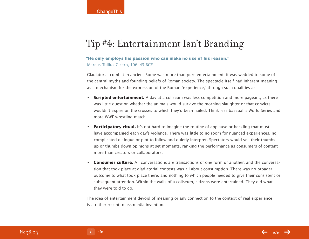### Tip #4: Entertainment Isn't Branding

### **"He only employs his passion who can make no use of his reason."**  Marcus Tullius Cicero, 106–43 BCE

Gladiatorial combat in ancient Rome was more than pure entertainment; it was wedded to some of the central myths and founding beliefs of Roman society. The spectacle itself had inherent meaning as a mechanism for the expression of the Roman "experience," through such qualities as:

- **Scripted entertainment.** A day at a coliseum was less competition and more pageant, as there was little question whether the animals would survive the morning slaughter or that convicts wouldn't expire on the crosses to which they'd been nailed. Think less baseball's World Series and more WWE wrestling match.
- **Participatory ritual.** It's not hard to imagine the routine of applause or heckling that must have accompanied each day's violence. There was little to no room for nuanced experiences, no complicated dialogue or plot to follow and quietly interpret. Spectators would yell their thumbs up or thumbs down opinions at set moments, ranking the performance as consumers of content more than creators or collaborators.
- **Consumer culture.** All conversations are transactions of one form or another, and the conversation that took place at gladiatorial contests was all about consumption. There was no broader outcome to what took place there, and nothing to which people needed to give their consistent or subsequent attention. Within the walls of a coliseum, citizens were entertained. They did what they were told to do.

The idea of entertainment devoid of meaning or any connection to the context of real experience is a rather recent, mass-media invention.

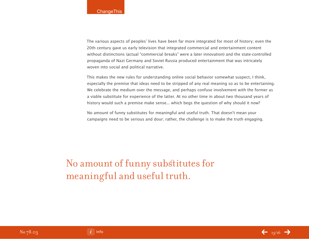The various aspects of peoples' lives have been far more integrated for most of history; even the 20th century gave us early television that integrated commercial and entertainment content without distinctions (actual "commercial breaks" were a later innovation) and the state-controlled propaganda of Nazi Germany and Soviet Russia produced entertainment that was intricately woven into social and political narrative.

This makes the new rules for understanding online social behavior somewhat suspect, I think, especially the premise that ideas need to be stripped of any real meaning so as to be entertaining. We celebrate the medium over the message, and perhaps confuse involvement with the former as a viable substitute for experience of the latter. At no other time in about two thousand years of history would such a premise make sense... which begs the question of why should it now?

No amount of funny substitutes for meaningful and useful truth. That doesn't mean your campaigns need to be serious and dour; rather, the challenge is to make the truth engaging.

No amount of funny substitutes for meaningful and useful truth.

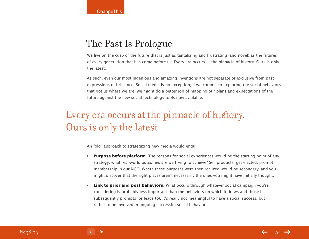# The Past Is Prologue

We live on the cusp of the future that is just as tantalizing and frustrating (and novel) as the futures of every generation that has come before us. Every era occurs at the pinnacle of history. Ours is only the latest.

As such, even our most ingenious and amazing inventions are not separate or exclusive from past expressions of brilliance. Social media is no exception; if we commit to exploring the social behaviors that got us where we are, we might do a better job of mapping our plans and expectations of the future against the new social technology tools now available.

# Every era occurs at the pinnacle of history. Ours is only the latest.

An "old" approach to strategizing new media would entail:

- **Purpose before platform.** The reasons for social experiences would be the starting point of any strategy: what real-world outcomes are we trying to achieve? Sell products, get elected, prompt membership in our NGO. Where these purposes were then realized would be secondary, and you might discover that the right places aren't necessarily the ones you might have initially thought.
- **Link to prior and post behaviors.** What occurs through whatever social campaign you're considering is probably less important than the behaviors on which it draws and those it subsequently prompts (or leads to). It's really not meaningful to have a social success, but rather to be involved in ongoing successful social behaviors.

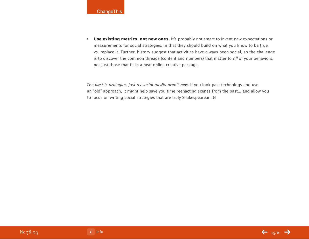

• **Use existing metrics, not new ones.** It's probably not smart to invent new expectations or measurements for social strategies, in that they should build on what you know to be true vs. replace it. Further, history suggest that activities have always been social, so the challenge is to discover the common threads (content and numbers) that matter to all of your behaviors, not just those that fit in a neat online creative package.

The past is prologue, just as social media aren't new. If you look past technology and use an "old" approach, it might help save you time reenacting scenes from the past... and allow you to focus on writing social strategies that are truly Shakespearean! **a**